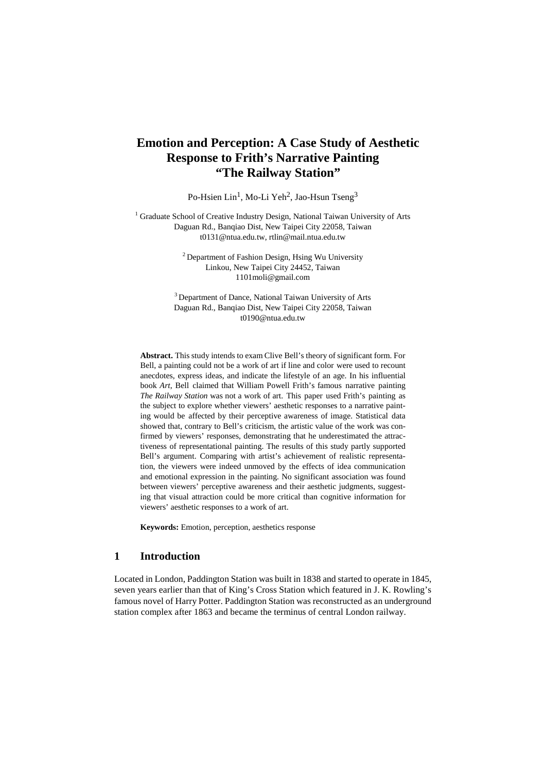# **Emotion and Perception: A Case Study of Aesthetic Response to Frith's Narrative Painting "The Railway Station"**

Po-Hsien Lin<sup>1</sup>, Mo-Li Yeh<sup>2</sup>, Jao-Hsun Tseng<sup>3</sup>

 $1$  Graduate School of Creative Industry Design, National Taiwan University of Arts Daguan Rd., Banqiao Dist, New Taipei City 22058, Taiwan t0131@ntua.edu.tw[, rtlin@mail.ntua.edu.tw](mailto:rtlin@mail.ntua.edu.tw)

> <sup>2</sup> Department of Fashion Design, Hsing Wu University Linkou, New Taipei City 24452, Taiwan [1101moli@gmail.com](mailto:1101moli@gmail.com)

<sup>3</sup> Department of Dance, National Taiwan University of Arts Daguan Rd., Banqiao Dist, New Taipei City 22058, Taiwan t0190@ntua.edu.tw

**Abstract.** This study intends to exam Clive Bell's theory of significant form. For Bell, a painting could not be a work of art if line and color were used to recount anecdotes, express ideas, and indicate the lifestyle of an age. In his influential book *Art*, Bell claimed that William Powell Frith's famous narrative painting *The Railway Station* was not a work of art. This paper used Frith's painting as the subject to explore whether viewers' aesthetic responses to a narrative painting would be affected by their perceptive awareness of image. Statistical data showed that, contrary to Bell's criticism, the artistic value of the work was confirmed by viewers' responses, demonstrating that he underestimated the attractiveness of representational painting. The results of this study partly supported Bell's argument. Comparing with artist's achievement of realistic representation, the viewers were indeed unmoved by the effects of idea communication and emotional expression in the painting. No significant association was found between viewers' perceptive awareness and their aesthetic judgments, suggesting that visual attraction could be more critical than cognitive information for viewers' aesthetic responses to a work of art.

**Keywords:** Emotion, perception, aesthetics response

### **1 Introduction**

Located in London, Paddington Station was built in 1838 and started to operate in 1845, seven years earlier than that of King's Cross Station which featured in J. K. Rowling's famous novel of Harry Potter. Paddington Station was reconstructed as an underground station complex after 1863 and became the terminus of central London railway.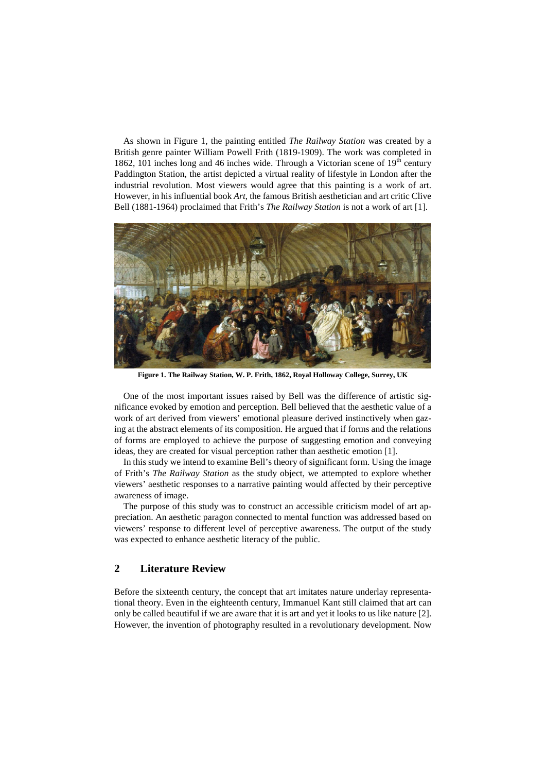As shown in Figure 1, the painting entitled *The Railway Station* was created by a British genre painter William Powell Frith (1819-1909). The work was completed in 1862, 101 inches long and 46 inches wide. Through a Victorian scene of  $19<sup>th</sup>$  century Paddington Station, the artist depicted a virtual reality of lifestyle in London after the industrial revolution. Most viewers would agree that this painting is a work of art. However, in his influential book *Art*, the famous British aesthetician and art critic Clive Bell (1881-1964) proclaimed that Frith's *The Railway Station* is not a work of art [1].



**Figure 1. The Railway Station, W. P. Frith, 1862, Royal Holloway College, Surrey, UK**

One of the most important issues raised by Bell was the difference of artistic significance evoked by emotion and perception. Bell believed that the aesthetic value of a work of art derived from viewers' emotional pleasure derived instinctively when gazing at the abstract elements of its composition. He argued that if forms and the relations of forms are employed to achieve the purpose of suggesting emotion and conveying ideas, they are created for visual perception rather than aesthetic emotion [1].

In this study we intend to examine Bell's theory of significant form. Using the image of Frith's *The Railway Station* as the study object, we attempted to explore whether viewers' aesthetic responses to a narrative painting would affected by their perceptive awareness of image.

The purpose of this study was to construct an accessible criticism model of art appreciation. An aesthetic paragon connected to mental function was addressed based on viewers' response to different level of perceptive awareness. The output of the study was expected to enhance aesthetic literacy of the public.

## **2 Literature Review**

Before the sixteenth century, the concept that art imitates nature underlay representational theory. Even in the eighteenth century, Immanuel Kant still claimed that art can only be called beautiful if we are aware that it is art and yet it looks to us like nature [2]. However, the invention of photography resulted in a revolutionary development. Now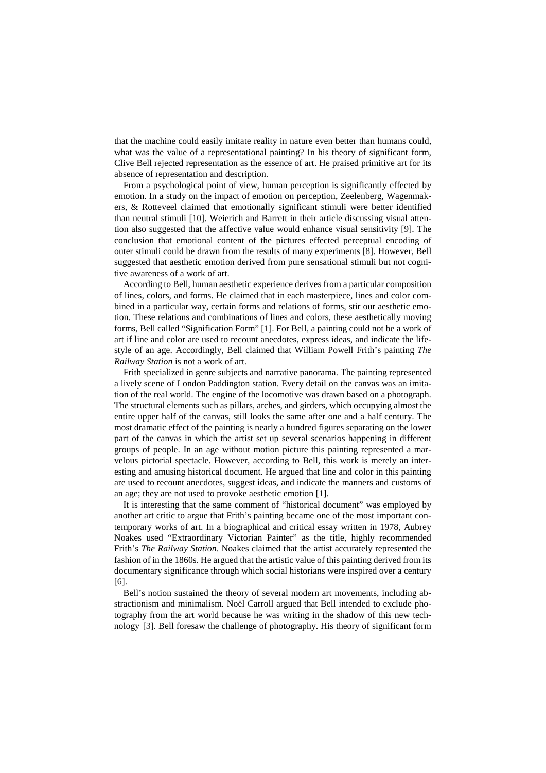that the machine could easily imitate reality in nature even better than humans could, what was the value of a representational painting? In his theory of significant form, Clive Bell rejected representation as the essence of art. He praised primitive art for its absence of representation and description.

From a psychological point of view, human perception is significantly effected by emotion. In a study on the impact of emotion on perception, Zeelenberg, Wagenmakers, & Rotteveel claimed that emotionally significant stimuli were better identified than neutral stimuli [10]. Weierich and Barrett in their article discussing visual attention also suggested that the affective value would enhance visual sensitivity [9]. The conclusion that emotional content of the pictures effected perceptual encoding of outer stimuli could be drawn from the results of many experiments [8]. However, Bell suggested that aesthetic emotion derived from pure sensational stimuli but not cognitive awareness of a work of art.

According to Bell, human aesthetic experience derives from a particular composition of lines, colors, and forms. He claimed that in each masterpiece, lines and color combined in a particular way, certain forms and relations of forms, stir our aesthetic emotion. These relations and combinations of lines and colors, these aesthetically moving forms, Bell called "Signification Form" [1]. For Bell, a painting could not be a work of art if line and color are used to recount anecdotes, express ideas, and indicate the lifestyle of an age. Accordingly, Bell claimed that William Powell Frith's painting *The Railway Station* is not a work of art.

Frith specialized in genre subjects and narrative panorama. The painting represented a lively scene of London Paddington station. Every detail on the canvas was an imitation of the real world. The engine of the locomotive was drawn based on a photograph. The structural elements such as pillars, arches, and girders, which occupying almost the entire upper half of the canvas, still looks the same after one and a half century. The most dramatic effect of the painting is nearly a hundred figures separating on the lower part of the canvas in which the artist set up several scenarios happening in different groups of people. In an age without motion picture this painting represented a marvelous pictorial spectacle. However, according to Bell, this work is merely an interesting and amusing historical document. He argued that line and color in this painting are used to recount anecdotes, suggest ideas, and indicate the manners and customs of an age; they are not used to provoke aesthetic emotion [1].

It is interesting that the same comment of "historical document" was employed by another art critic to argue that Frith's painting became one of the most important contemporary works of art. In a biographical and critical essay written in 1978, Aubrey Noakes used "Extraordinary Victorian Painter" as the title, highly recommended Frith's *The Railway Station*. Noakes claimed that the artist accurately represented the fashion of in the 1860s. He argued that the artistic value of this painting derived from its documentary significance through which social historians were inspired over a century [6].

Bell's notion sustained the theory of several modern art movements, including abstractionism and minimalism. Noël Carroll argued that Bell intended to exclude photography from the art world because he was writing in the shadow of this new technology [3]. Bell foresaw the challenge of photography. His theory of significant form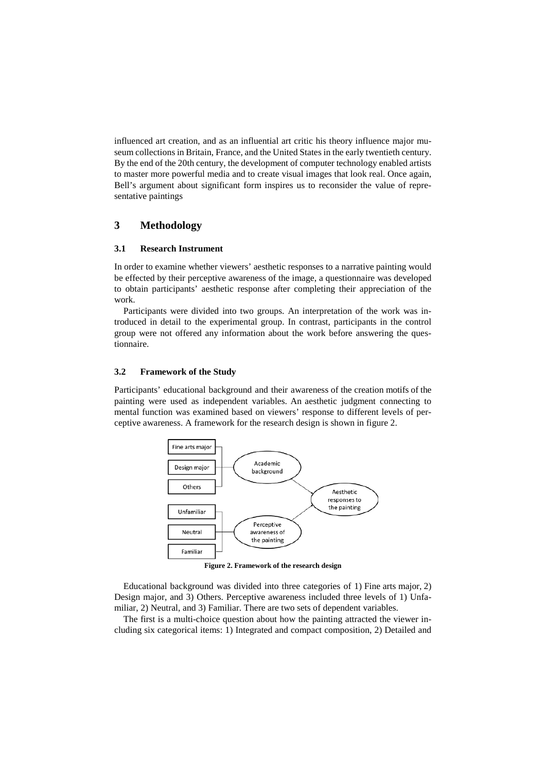influenced art creation, and as an influential art critic his theory influence major museum collections in Britain, France, and the United States in the early twentieth century. By the end of the 20th century, the development of computer technology enabled artists to master more powerful media and to create visual images that look real. Once again, Bell's argument about significant form inspires us to reconsider the value of representative paintings

## **3 Methodology**

### **3.1 Research Instrument**

In order to examine whether viewers' aesthetic responses to a narrative painting would be effected by their perceptive awareness of the image, a questionnaire was developed to obtain participants' aesthetic response after completing their appreciation of the work.

Participants were divided into two groups. An interpretation of the work was introduced in detail to the experimental group. In contrast, participants in the control group were not offered any information about the work before answering the questionnaire.

### **3.2 Framework of the Study**

Participants' educational background and their awareness of the creation motifs of the painting were used as independent variables. An aesthetic judgment connecting to mental function was examined based on viewers' response to different levels of perceptive awareness. A framework for the research design is shown in figure 2.



**Figure 2. Framework of the research design**

Educational background was divided into three categories of 1) Fine arts major, 2) Design major, and 3) Others. Perceptive awareness included three levels of 1) Unfamiliar, 2) Neutral, and 3) Familiar. There are two sets of dependent variables.

The first is a multi-choice question about how the painting attracted the viewer including six categorical items: 1) Integrated and compact composition, 2) Detailed and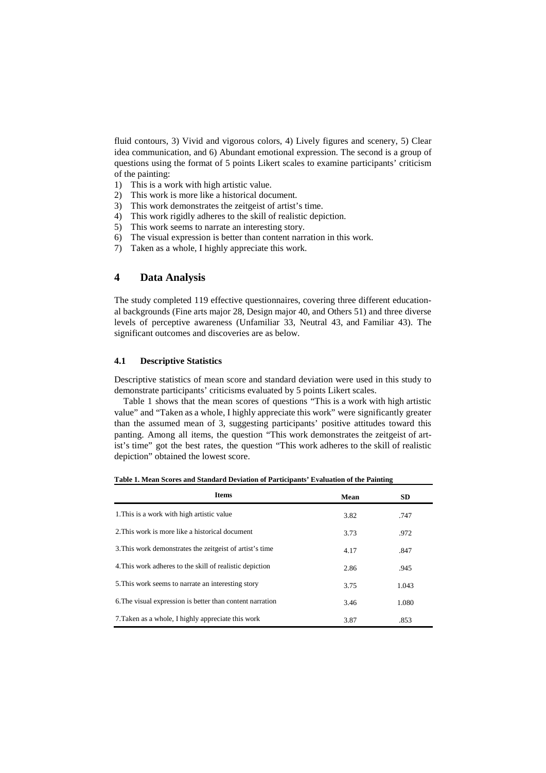fluid contours, 3) Vivid and vigorous colors, 4) Lively figures and scenery, 5) Clear idea communication, and 6) Abundant emotional expression. The second is a group of questions using the format of 5 points Likert scales to examine participants' criticism of the painting:

- 1) This is a work with high artistic value.
- 2) This work is more like a historical document.
- 3) This work demonstrates the zeitgeist of artist's time.
- 4) This work rigidly adheres to the skill of realistic depiction.
- 5) This work seems to narrate an interesting story.
- 6) The visual expression is better than content narration in this work.
- 7) Taken as a whole, I highly appreciate this work.

## **4 Data Analysis**

The study completed 119 effective questionnaires, covering three different educational backgrounds (Fine arts major 28, Design major 40, and Others 51) and three diverse levels of perceptive awareness (Unfamiliar 33, Neutral 43, and Familiar 43). The significant outcomes and discoveries are as below.

### **4.1 Descriptive Statistics**

Descriptive statistics of mean score and standard deviation were used in this study to demonstrate participants' criticisms evaluated by 5 points Likert scales.

Table 1 shows that the mean scores of questions "This is a work with high artistic value" and "Taken as a whole, I highly appreciate this work" were significantly greater than the assumed mean of 3, suggesting participants' positive attitudes toward this panting. Among all items, the question "This work demonstrates the zeitgeist of artist's time" got the best rates, the question "This work adheres to the skill of realistic depiction" obtained the lowest score.

| <b>Items</b>                                              | Mean | <b>SD</b> |
|-----------------------------------------------------------|------|-----------|
| 1. This is a work with high artistic value                | 3.82 | .747      |
| 2. This work is more like a historical document           | 3.73 | .972      |
| 3. This work demonstrates the zeitgeist of artist's time  | 4.17 | .847      |
| 4. This work adheres to the skill of realistic depiction  | 2.86 | .945      |
| 5. This work seems to narrate an interesting story        | 3.75 | 1.043     |
| 6. The visual expression is better than content narration | 3.46 | 1.080     |
| 7. Taken as a whole, I highly appreciate this work        | 3.87 | .853      |

**Table 1. Mean Scores and Standard Deviation of Participants' Evaluation of the Painting**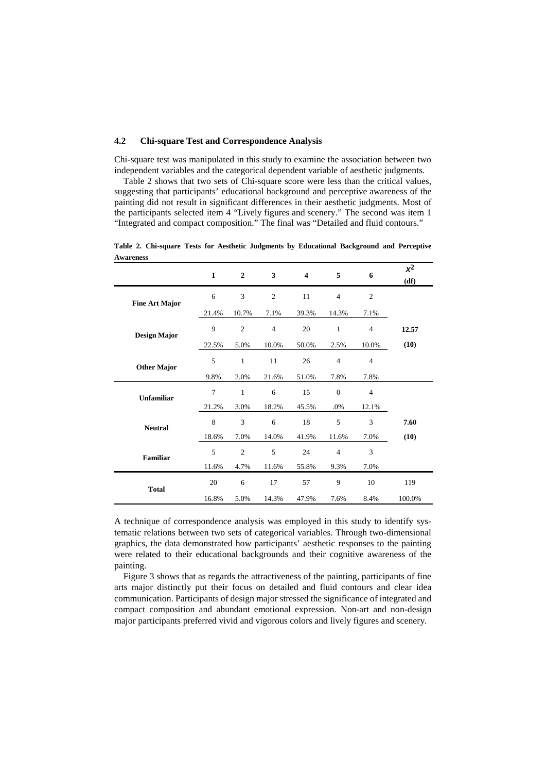#### **4.2 Chi-square Test and Correspondence Analysis**

Chi-square test was manipulated in this study to examine the association between two independent variables and the categorical dependent variable of aesthetic judgments.

Table 2 shows that two sets of Chi-square score were less than the critical values, suggesting that participants' educational background and perceptive awareness of the painting did not result in significant differences in their aesthetic judgments. Most of the participants selected item 4 "Lively figures and scenery." The second was item 1 "Integrated and compact composition." The final was "Detailed and fluid contours."

| <b>Awareness</b>      |                |                |                |       |                |                |               |
|-----------------------|----------------|----------------|----------------|-------|----------------|----------------|---------------|
|                       | $\mathbf{1}$   | $\overline{2}$ | 3              | 4     | 5              | 6              | $x^2$<br>(df) |
| <b>Fine Art Major</b> | 6              | 3              | $\mathfrak{2}$ | 11    | $\overline{4}$ | $\overline{c}$ |               |
|                       | 21.4%          | 10.7%          | 7.1%           | 39.3% | 14.3%          | 7.1%           |               |
| <b>Design Major</b>   | 9              | $\overline{c}$ | $\overline{4}$ | 20    | $\mathbf{1}$   | $\overline{4}$ | 12.57         |
|                       | 22.5%          | 5.0%           | 10.0%          | 50.0% | 2.5%           | 10.0%          | (10)          |
| <b>Other Major</b>    | 5              | $\mathbf{1}$   | 11             | 26    | $\overline{4}$ | $\overline{4}$ |               |
|                       | 9.8%           | 2.0%           | 21.6%          | 51.0% | 7.8%           | 7.8%           |               |
| <b>Unfamiliar</b>     | $\overline{7}$ | $\mathbf{1}$   | 6              | 15    | $\overline{0}$ | $\overline{4}$ |               |
|                       | 21.2%          | 3.0%           | 18.2%          | 45.5% | $.0\%$         | 12.1%          |               |
| <b>Neutral</b>        | 8              | 3              | 6              | 18    | 5              | 3              | 7.60          |
|                       | 18.6%          | 7.0%           | 14.0%          | 41.9% | 11.6%          | 7.0%           | (10)          |
| <b>Familiar</b>       | 5              | $\overline{2}$ | 5              | 24    | $\overline{4}$ | 3              |               |
|                       | 11.6%          | 4.7%           | 11.6%          | 55.8% | 9.3%           | 7.0%           |               |
| <b>Total</b>          | 20             | 6              | 17             | 57    | 9              | 10             | 119           |
|                       | 16.8%          | 5.0%           | 14.3%          | 47.9% | 7.6%           | 8.4%           | 100.0%        |

**Table 2. Chi-square Tests for Aesthetic Judgments by Educational Background and Perceptive Awareness**

A technique of correspondence analysis was employed in this study to identify systematic relations between two sets of categorical variables. Through two-dimensional graphics, the data demonstrated how participants' aesthetic responses to the painting were related to their educational backgrounds and their cognitive awareness of the painting.

Figure 3 shows that as regards the attractiveness of the painting, participants of fine arts major distinctly put their focus on detailed and fluid contours and clear idea communication. Participants of design major stressed the significance of integrated and compact composition and abundant emotional expression. Non-art and non-design major participants preferred vivid and vigorous colors and lively figures and scenery.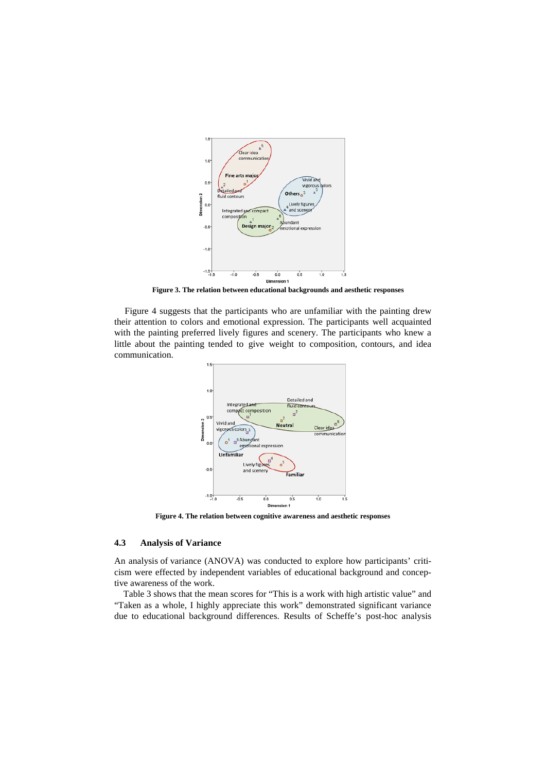

**Figure 3. The relation between educational backgrounds and aesthetic responses**

Figure 4 suggests that the participants who are unfamiliar with the painting drew their attention to colors and emotional expression. The participants well acquainted with the painting preferred lively figures and scenery. The participants who knew a little about the painting tended to give weight to composition, contours, and idea communication.



**Figure 4. The relation between cognitive awareness and aesthetic responses**

#### **4.3 Analysis of Variance**

An analysis of variance (ANOVA) was conducted to explore how participants' criticism were effected by independent variables of educational background and conceptive awareness of the work.

Table 3 shows that the mean scores for "This is a work with high artistic value" and "Taken as a whole, I highly appreciate this work" demonstrated significant variance due to educational background differences. Results of Scheffe's post-hoc analysis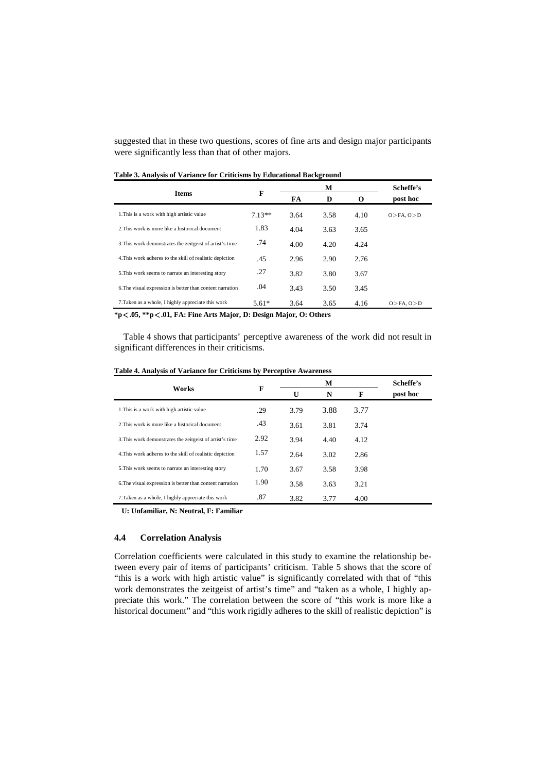suggested that in these two questions, scores of fine arts and design major participants were significantly less than that of other majors.

|                                                           |          |      | М    | Scheffe's<br>post hoc |                    |
|-----------------------------------------------------------|----------|------|------|-----------------------|--------------------|
| <b>Items</b>                                              | F        | FA   | D    |                       |                    |
| 1. This is a work with high artistic value                | $7.13**$ | 3.64 | 3.58 | 4.10                  | $O > FA$ , $O > D$ |
| 2. This work is more like a historical document           | 1.83     | 4.04 | 3.63 | 3.65                  |                    |
| 3. This work demonstrates the zeitgeist of artist's time  | .74      | 4.00 | 4.20 | 4.24                  |                    |
| 4. This work adheres to the skill of realistic depiction  | .45      | 2.96 | 2.90 | 2.76                  |                    |
| 5. This work seems to narrate an interesting story        | .27      | 3.82 | 3.80 | 3.67                  |                    |
| 6. The visual expression is better than content narration | .04      | 3.43 | 3.50 | 3.45                  |                    |
| 7. Taken as a whole, I highly appreciate this work        | $5.61*$  | 3.64 | 3.65 | 4.16                  | $O > FA$ , $O > D$ |

**Table 3. Analysis of Variance for Criticisms by Educational Background**

**\*p**<**.05, \*\*p**<**.01, FA: Fine Arts Major, D: Design Major, O: Others**

Table 4 shows that participants' perceptive awareness of the work did not result in significant differences in their criticisms.

| Table 4. Analysis of Variance for Criticisms by Perceptive Awareness |  |  |
|----------------------------------------------------------------------|--|--|
|                                                                      |  |  |

|                                                           |      |              | Scheffe's |      |          |
|-----------------------------------------------------------|------|--------------|-----------|------|----------|
| Works                                                     | F    | $\mathbf{U}$ | N         | F    | post hoc |
| 1. This is a work with high artistic value                | .29  | 3.79         | 3.88      | 3.77 |          |
| 2. This work is more like a historical document           | .43  | 3.61         | 3.81      | 3.74 |          |
| 3. This work demonstrates the zeitgeist of artist's time  | 2.92 | 3.94         | 4.40      | 4.12 |          |
| 4. This work adheres to the skill of realistic depiction  | 1.57 | 2.64         | 3.02      | 2.86 |          |
| 5. This work seems to narrate an interesting story        | 1.70 | 3.67         | 3.58      | 3.98 |          |
| 6. The visual expression is better than content narration | 1.90 | 3.58         | 3.63      | 3.21 |          |
| 7. Taken as a whole, I highly appreciate this work        | .87  | 3.82         | 3.77      | 4.00 |          |
|                                                           |      |              |           |      |          |

**U: Unfamiliar, N: Neutral, F: Familiar**

#### **4.4 Correlation Analysis**

Correlation coefficients were calculated in this study to examine the relationship between every pair of items of participants' criticism. Table 5 shows that the score of "this is a work with high artistic value" is significantly correlated with that of "this work demonstrates the zeitgeist of artist's time" and "taken as a whole, I highly appreciate this work." The correlation between the score of "this work is more like a historical document" and "this work rigidly adheres to the skill of realistic depiction" is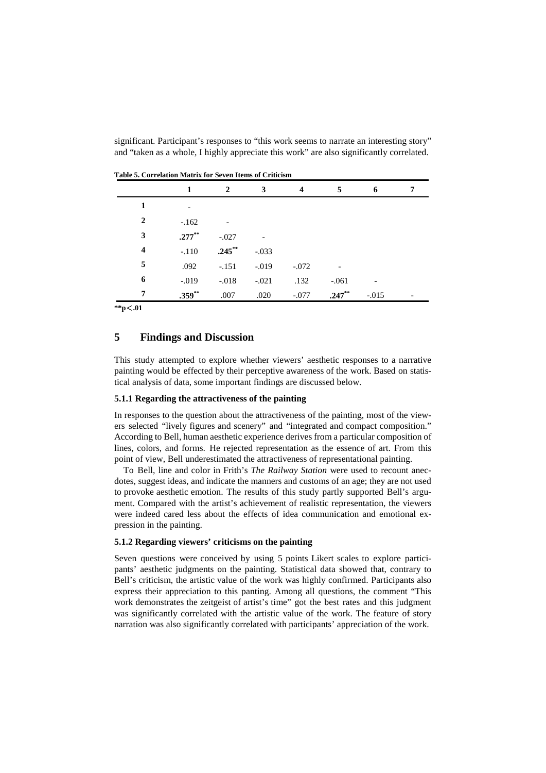significant. Participant's responses to "this work seems to narrate an interesting story" and "taken as a whole, I highly appreciate this work" are also significantly correlated.

| Table 5. Correlation matrix for Seven fields of Criticism |           |                |         |                         |           |         |   |
|-----------------------------------------------------------|-----------|----------------|---------|-------------------------|-----------|---------|---|
|                                                           | 1         | $\overline{2}$ | 3       | $\overline{\mathbf{4}}$ | 5         | 6       | 7 |
| 1                                                         |           |                |         |                         |           |         |   |
| $\overline{2}$                                            | $-.162$   |                |         |                         |           |         |   |
| 3                                                         | $.277***$ | $-.027$        |         |                         |           |         |   |
| 4                                                         | $-.110$   | $.245***$      | $-.033$ |                         |           |         |   |
| 5                                                         | .092      | $-.151$        | $-.019$ | $-.072$                 |           |         |   |
| 6                                                         | $-.019$   | $-.018$        | $-.021$ | .132                    | $-.061$   |         |   |
| 7                                                         | $.359**$  | .007           | .020    | $-.077$                 | $.247***$ | $-.015$ |   |

**Table 5. Correlation Matrix for Seven Items of Criticism**

**\*\*p**<**.01**

## **5 Findings and Discussion**

This study attempted to explore whether viewers' aesthetic responses to a narrative painting would be effected by their perceptive awareness of the work. Based on statistical analysis of data, some important findings are discussed below.

#### **5.1.1 Regarding the attractiveness of the painting**

In responses to the question about the attractiveness of the painting, most of the viewers selected "lively figures and scenery" and "integrated and compact composition." According to Bell, human aesthetic experience derives from a particular composition of lines, colors, and forms. He rejected representation as the essence of art. From this point of view, Bell underestimated the attractiveness of representational painting.

To Bell, line and color in Frith's *The Railway Station* were used to recount anecdotes, suggest ideas, and indicate the manners and customs of an age; they are not used to provoke aesthetic emotion. The results of this study partly supported Bell's argument. Compared with the artist's achievement of realistic representation, the viewers were indeed cared less about the effects of idea communication and emotional expression in the painting.

#### **5.1.2 Regarding viewers' criticisms on the painting**

Seven questions were conceived by using 5 points Likert scales to explore participants' aesthetic judgments on the painting. Statistical data showed that, contrary to Bell's criticism, the artistic value of the work was highly confirmed. Participants also express their appreciation to this panting. Among all questions, the comment "This work demonstrates the zeitgeist of artist's time" got the best rates and this judgment was significantly correlated with the artistic value of the work. The feature of story narration was also significantly correlated with participants' appreciation of the work.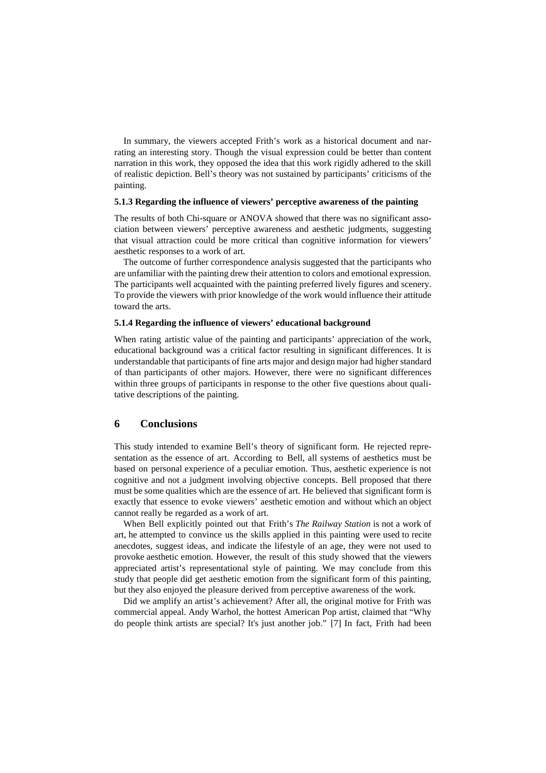In summary, the viewers accepted Frith's work as a historical document and narrating an interesting story. Though the visual expression could be better than content narration in this work, they opposed the idea that this work rigidly adhered to the skill of realistic depiction. Bell's theory was not sustained by participants' criticisms of the painting.

#### **5.1.3 Regarding the influence of viewers' perceptive awareness of the painting**

The results of both Chi-square or ANOVA showed that there was no significant association between viewers' perceptive awareness and aesthetic judgments, suggesting that visual attraction could be more critical than cognitive information for viewers' aesthetic responses to a work of art.

The outcome of further correspondence analysis suggested that the participants who are unfamiliar with the painting drew their attention to colors and emotional expression. The participants well acquainted with the painting preferred lively figures and scenery. To provide the viewers with prior knowledge of the work would influence their attitude toward the arts.

#### **5.1.4 Regarding the influence of viewers' educational background**

When rating artistic value of the painting and participants' appreciation of the work, educational background was a critical factor resulting in significant differences. It is understandable that participants of fine arts major and design major had higher standard of than participants of other majors. However, there were no significant differences within three groups of participants in response to the other five questions about qualitative descriptions of the painting.

## **6 Conclusions**

This study intended to examine Bell's theory of significant form. He rejected representation as the essence of art. According to Bell, all systems of aesthetics must be based on personal experience of a peculiar emotion. Thus, aesthetic experience is not cognitive and not a judgment involving objective concepts. Bell proposed that there must be some qualities which are the essence of art. He believed that significant form is exactly that essence to evoke viewers' aesthetic emotion and without which an object cannot really be regarded as a work of art.

When Bell explicitly pointed out that Frith's *The Railway Station* is not a work of art, he attempted to convince us the skills applied in this painting were used to recite anecdotes, suggest ideas, and indicate the lifestyle of an age, they were not used to provoke aesthetic emotion. However, the result of this study showed that the viewers appreciated artist's representational style of painting. We may conclude from this study that people did get aesthetic emotion from the significant form of this painting, but they also enjoyed the pleasure derived from perceptive awareness of the work.

Did we amplify an artist's achievement? After all, the original motive for Frith was commercial appeal. Andy Warhol, the hottest American Pop artist, claimed that "Why do people think artists are special? It's just another job." [7] In fact, Frith had been